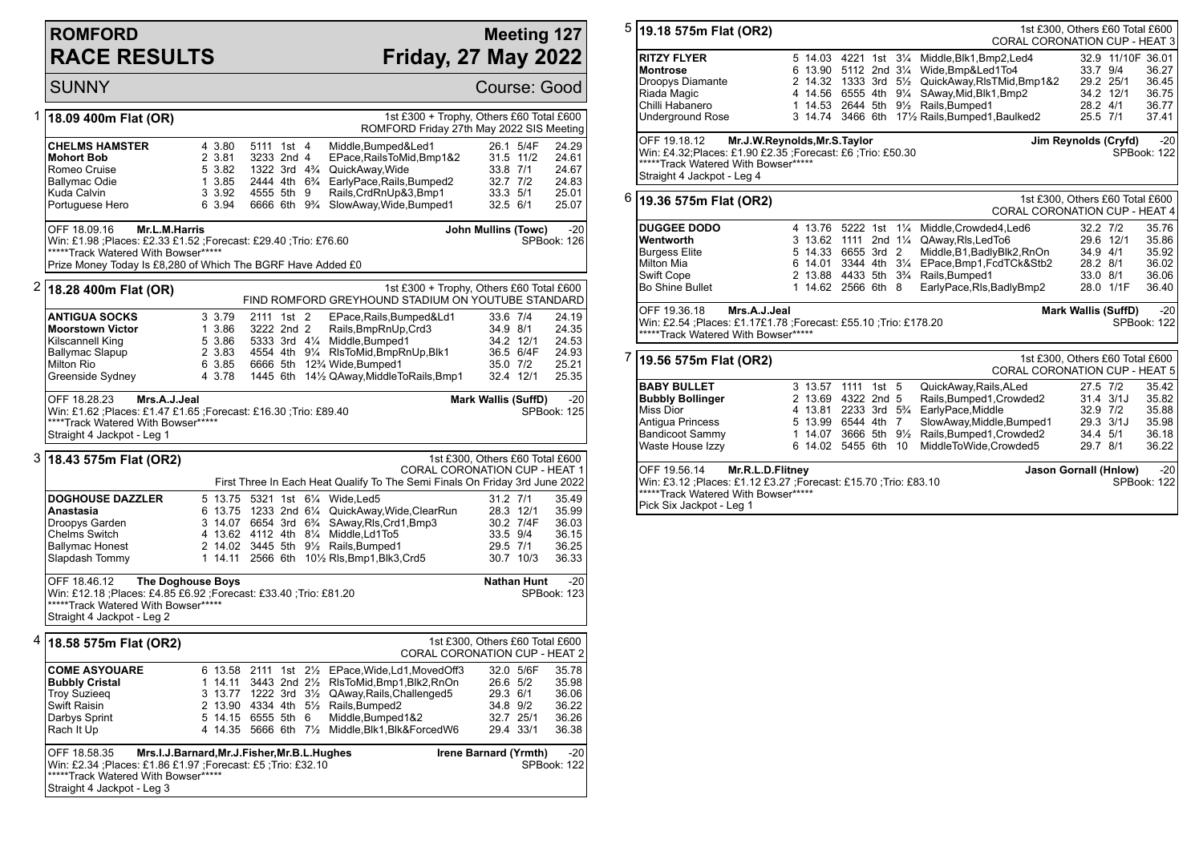## **ROMFORD RACE RESULTS**

## **Meeting 127 Friday, 27 May 2022**

**SUNNY** Course: Good 1 **18.09 400m Flat (OR)** 1st £300 + Trophy, Others £60 Total £600 ROMFORD Friday 27th May 2022 SIS Meeting **CHELMS HAMSTER** 4 3.80 5111 1st 4 Middle,Bumped&Led1 26.1 5/4F 24.29<br>**Mohort Bob** 2 3.81 3233 2nd 4 EPace.RailsToMid.Bmp1&2 31.5 11/2 24.61 **Mohort Bob** 2 3.81 3233 2nd 4 EPace, RailsToMid, Bmp1&2 31.5 11/2<br>Romeo Cruise 5 3.82 1322 3rd 4% QuickAway Wide 33.8 7/1 Romeo Cruise 5 3.82 1322 3rd 4¾ QuickAway,Wide 33.8 7/1 24.67 1 3.85 2444 4th  $6\frac{3}{4}$  EarlyPace, Rails, Bumped2 Kuda Calvin 3 3.92 4555 5th 9 Rails,CrdRnUp&3,Bmp1 33.3 5/1 25.01 6 3.94 6666 6th 9<sup>3</sup>/<sub>4</sub> SlowAway, Wide, Bumped1 32.5 6/1 25.07 OFF 18.09.16 **Mr.L.M.Harris** Win: £1.98 ;Places: £2.33 £1.52 ;Forecast: £29.40 ;Trio: £76.60 \*\*\*\*\*\*Track Watered With Bowser\*\*\*\*\* Prize Money Today Is £8,280 of Which The BGRF Have Added £0 **John Mullins (Towc)** -20 SPBook: 126 2 **18.28 400m Flat (OR)** 1st £300 + Trophy, Others £60 Total £600 FIND ROMFORD GREYHOUND STADIUM ON YOUTUBE STANDARD **ANTIGUA SOCKS** 3 3.79 2111 1st 2 EPace, Rails, Bumped&Ld1 33.6 7/4 24.19<br>**Moorstown Victor** 1 3.86 3222 2nd 2 Rails Bmp Rn Up Crd3 34.9 8/1 24.35 **Moorstown Victor** 1 3.86 3222 2nd 2 Rails,BmpRnUp,Crd3 34.9 8/1 24.35 Kilscannell King 5 3.86 5333 3rd 4¼ Middle,Bumped1 34.2 12/1 24.53 Ballymac Slapup 2 3.83 4554 4th 9¼ RlsToMid,BmpRnUp,Blk1 36.5 6/4F 24.93 Milton Rio 6 3.85 6666 5th 12¾ Wide,Bumped1 35.0 7/2 25.21<br>Greenside Sydney 4 3.78 1445 6th 14½ QAway.MiddleToRails.Bmp1 32.4 12/1 25.35 4 3.78 1445 6th 14½ QAway,MiddleToRails,Bmp1 OFF 18.28.23 **Mrs.A.J.Jeal** Win: £1.62 ;Places: £1.47 £1.65 ;Forecast: £16.30 ;Trio: £89.40 \*\*\*\*Track Watered With Bowser\*\*\*\*\* Straight 4 Jackpot - Leg 1 **Mark Wallis (SuffD)** -20 SPBook: 125 3 **18.43 575m Flat (OR2)** 1st £300, Others £60 Total £600 CORAL CORONATION CUP - HEAT 1 First Three In Each Heat Qualify To The Semi Finals On Friday 3rd June 2022 **DOGHOUSE DAZZLER** 5 13.75 5321 1st 6<sup>1</sup>/<sub>4</sub> Wide,Led5 31.2 31.2 7/1 35.49<br>**Anastasia 31.21 35.99** 6 13.75 1233 2nd 6<sup>1</sup>/<sub>4</sub> QuickAwav.Wide.ClearRun 28.3 12/1 35.99 **Anastasia** 6 13.75 1233 2nd 6¼ QuickAway,Wide,ClearRun 28.3 12/1 35.99<br>Droopys Garden 3 14.07 6654 3rd 6¾ SAway,Rls,Crd1,Bmp3 30.2 7/4F 36.03 Droopys Garden 3 14.07 6654 3rd 6¾ SAway,Rls,Crd1,Bmp3 30.2 7/4F 36.03 Chelms Switch 4 13.62 4112 4th 8¼ Middle,Ld1To5<br>
Ballymac Honest 2 14.02 3445 5th 9½ Rails.Bumped1 Ballymac Honest 2 14.02 3445 5th 9<sup>1</sup>/<sub>2</sub> Rails,Bumped1 29.5 7/1 36.25<br>Slapdash Tommy 1 14.11 2566 6th 10<sup>1</sup>/<sub>2</sub> RIs,Bmp1,Blk3,Crd5 30.7 10/3 36.33 1 14.11 2566 6th 101/2 Rls, Bmp1, Blk3, Crd5 30.7 10/3 36.33 OFF 18.46.12 **The Doghouse Boys** Win: £12.18 ;Places: £4.85 £6.92 ;Forecast: £33.40 ;Trio: £81.20 \*\*\*\*\*Track Watered With Bowser\*\*\*\*\* Straight 4 Jackpot - Leg 2 **Nathan Hunt** -20 SPBook: 123 4 **18.58 575m Flat (OR2)** 1st £300, Others £60 Total £600 CORAL CORONATION CUP - HEAT 2 **COME ASYOUARE** 6 13.58 2111 1st 2½ EPace,Wide,Ld1,MovedOff3 32.0 5/6F 35.78 **Bubbly Cristal** 1 14.11 3443 2nd 2<sup>1</sup>/<sub>2</sub> RIsToMid,Bmp1,Blk2,RnOn 26.6 5/2 35.98<br>Troy Suzieeg 3 13.77 1222 3rd 3<sup>1</sup>/<sub>2</sub> QAway,Rails,Challenged5 29.3 6/1 36.06 Troy Suzieeq 3 13.77 1222 3rd 3½ QAway,Rails,Challenged5 29.3 6/1 36.06 Swift Raisin 2 13.90 4334 4th 5½ Rails,Bumped2 34.8 9/2 36.22 Darbys Sprint 5 14.15 6555 5th 6 Middle,Bumped1&2 32.7 25/1 36.26 4 14.35 5666 6th 71/2 Middle, Blk1, Blk&ForcedW6 OFF 18.58.35 **Mrs.I.J.Barnard,Mr.J.Fisher,Mr.B.L.Hughes** Win: £2.34 ;Places: £1.86 £1.97 ;Forecast: £5 ;Trio: £32.10 \*\*\*\*\*Track Watered With Bowser\*\*\*\*\* Straight 4 Jackpot - Leg 3 **Irene Barnard (Yrmth)** -20 SPBook: 122

| 5                                                                                               | 19.18 575m Flat (OR2)                                                                                                                                                                                                     |                                                                                                                                                |                                                |          |                    | 1st £300, Others £60 Total £600<br><b>CORAL CORONATION CUP - HEAT 3</b> |                                                                                                                                                             |                            |                   |                      |
|-------------------------------------------------------------------------------------------------|---------------------------------------------------------------------------------------------------------------------------------------------------------------------------------------------------------------------------|------------------------------------------------------------------------------------------------------------------------------------------------|------------------------------------------------|----------|--------------------|-------------------------------------------------------------------------|-------------------------------------------------------------------------------------------------------------------------------------------------------------|----------------------------|-------------------|----------------------|
|                                                                                                 | <b>RITZY FLYER</b><br><b>Montrose</b><br>Droopys Diamante                                                                                                                                                                 |                                                                                                                                                |                                                |          |                    |                                                                         | 5 14.03 4221 1st 31/4 Middle, Blk1, Bmp2, Led4<br>6 13.90 5112 2nd 31/4 Wide, Bmp&Led1To4<br>2 14.32 1333 3rd 51/ <sub>2</sub> QuickAway, RIs TMid, Bmp 1&2 | 33.7 9/4<br>29.2 25/1      | 32.9 11/10F 36.01 | 36.27<br>36.45       |
|                                                                                                 | Riada Magic                                                                                                                                                                                                               |                                                                                                                                                |                                                |          |                    |                                                                         | 4 14.56 6555 4th 91/4 SAway, Mid, Blk1, Bmp2                                                                                                                | 34.2 12/1                  |                   | 36.75                |
|                                                                                                 | Chilli Habanero                                                                                                                                                                                                           |                                                                                                                                                |                                                |          |                    |                                                                         | 1 14.53 2644 5th 91/2 Rails, Bumped 1                                                                                                                       | 28.2 4/1                   |                   | 36.77                |
|                                                                                                 | <b>Underground Rose</b>                                                                                                                                                                                                   |                                                                                                                                                | 3 14.74                                        |          |                    |                                                                         | 3466 6th 171/2 Rails, Bumped 1, Baulked 2                                                                                                                   | 25.5 7/1                   |                   | 37.41                |
|                                                                                                 | OFF 19.18.12<br>Mr.J.W.Reynolds, Mr.S.Taylor<br>Jim Reynolds (Cryfd)<br>Win: £4.32; Places: £1.90 £2.35 ; Forecast: £6 ; Trio: £50.30<br>SPBook: 122<br>*****Track Watered With Bowser*****<br>Straight 4 Jackpot - Leg 4 |                                                                                                                                                |                                                |          |                    |                                                                         |                                                                                                                                                             |                            |                   | $-20$                |
| 6                                                                                               | 19.36 575m Flat (OR2)                                                                                                                                                                                                     | 1st £300, Others £60 Total £600<br><b>CORAL CORONATION CUP - HEAT 4</b>                                                                        |                                                |          |                    |                                                                         |                                                                                                                                                             |                            |                   |                      |
|                                                                                                 | <b>DUGGEE DODO</b>                                                                                                                                                                                                        |                                                                                                                                                | 4 13.76 5222 1st                               |          |                    | $1\frac{1}{4}$                                                          | Middle, Crowded4, Led6                                                                                                                                      | $32.2$ $7/2$               |                   | 35.76                |
|                                                                                                 | Wentworth                                                                                                                                                                                                                 |                                                                                                                                                | 3 13.62 1111                                   |          | 2nd $1\frac{1}{4}$ |                                                                         | QAway, RIs, Led To6                                                                                                                                         | 29.6 12/1                  |                   | 35.86                |
|                                                                                                 | <b>Burgess Elite</b><br><b>Milton Mia</b>                                                                                                                                                                                 |                                                                                                                                                | 5 14.33 6655 3rd 2<br>6 14.01 3344 4th 31/4    |          |                    |                                                                         | Middle, B1, Badly Blk2, RnOn                                                                                                                                | 34.9 4/1<br>28.2 8/1       |                   | 35.92<br>36.02       |
|                                                                                                 | <b>Swift Cope</b>                                                                                                                                                                                                         |                                                                                                                                                |                                                |          |                    |                                                                         | EPace, Bmp1, FcdTCk&Stb2<br>2 13.88 4433 5th 3 <sup>3</sup> / <sub>4</sub> Rails, Bumped 1                                                                  | 33.0 8/1                   |                   | 36.06                |
|                                                                                                 | <b>Bo Shine Bullet</b>                                                                                                                                                                                                    |                                                                                                                                                | 1 14.62 2566 6th 8                             |          |                    |                                                                         | EarlyPace, RIs, BadlyBmp2                                                                                                                                   |                            | 28.0 1/1F         | 36.40                |
|                                                                                                 |                                                                                                                                                                                                                           |                                                                                                                                                |                                                |          |                    |                                                                         |                                                                                                                                                             |                            |                   |                      |
| Mrs.A.J.Jeal<br>OFF 19.36.18<br>Win: £2.54 ;Places: £1.17£1.78 ;Forecast: £55.10 ;Trio: £178.20 |                                                                                                                                                                                                                           |                                                                                                                                                |                                                |          |                    |                                                                         |                                                                                                                                                             | <b>Mark Wallis (SuffD)</b> |                   | $-20$<br>SPBook: 122 |
|                                                                                                 | *****Track Watered With Bowser*****                                                                                                                                                                                       |                                                                                                                                                |                                                |          |                    |                                                                         |                                                                                                                                                             |                            |                   |                      |
| 7                                                                                               | 19.56 575m Flat (OR2)                                                                                                                                                                                                     |                                                                                                                                                |                                                |          |                    |                                                                         | 1st £300, Others £60 Total £600<br>CORAL CORONATION CUP - HEAT 5                                                                                            |                            |                   |                      |
|                                                                                                 |                                                                                                                                                                                                                           |                                                                                                                                                |                                                |          |                    |                                                                         |                                                                                                                                                             |                            |                   |                      |
|                                                                                                 | <b>BABY BULLET</b><br><b>Bubbly Bollinger</b>                                                                                                                                                                             |                                                                                                                                                | 3 13.57 1111 1st 5<br>2 13.69 4322 2nd 5       |          |                    |                                                                         | QuickAway, Rails, ALed<br>Rails, Bumped 1, Crowded 2                                                                                                        | 27.5 7/2<br>$31.4$ $3/1J$  |                   | 35.42<br>35.82       |
|                                                                                                 | <b>Miss Dior</b>                                                                                                                                                                                                          |                                                                                                                                                | 4 13.81 2233 3rd 5 <sup>3</sup> / <sub>4</sub> |          |                    |                                                                         | EarlyPace, Middle                                                                                                                                           | 32.9 7/2                   |                   | 35.88                |
|                                                                                                 | Antiqua Princess                                                                                                                                                                                                          |                                                                                                                                                | 5 13.99 6544 4th 7                             |          |                    |                                                                         | SlowAway, Middle, Bumped1                                                                                                                                   | 29.3 3/1J                  |                   | 35.98                |
|                                                                                                 | <b>Bandicoot Sammy</b>                                                                                                                                                                                                    |                                                                                                                                                | 1 14.07                                        | 3666 5th |                    | $9\frac{1}{2}$                                                          | Rails, Bumped 1, Crowded 2                                                                                                                                  | 34.4 5/1                   |                   | 36.18                |
|                                                                                                 | Waste House Izzy                                                                                                                                                                                                          |                                                                                                                                                | 6 14.02                                        | 5455 6th |                    | 10                                                                      | MiddleToWide,Crowded5                                                                                                                                       | 29.7 8/1                   |                   | 36.22                |
|                                                                                                 | OFF 19.56.14                                                                                                                                                                                                              | Mr.R.L.D.Flitney<br>$-20$<br><b>Jason Gornall (Hnlow)</b><br>Win: £3.12 ; Places: £1.12 £3.27 ; Forecast: £15.70 ; Trio: £83.10<br>SPBook: 122 |                                                |          |                    |                                                                         |                                                                                                                                                             |                            |                   |                      |

\*\*\*\*\*Track Watered With Bowser\*\*\*\*\*

Pick Six Jackpot - Leg 1